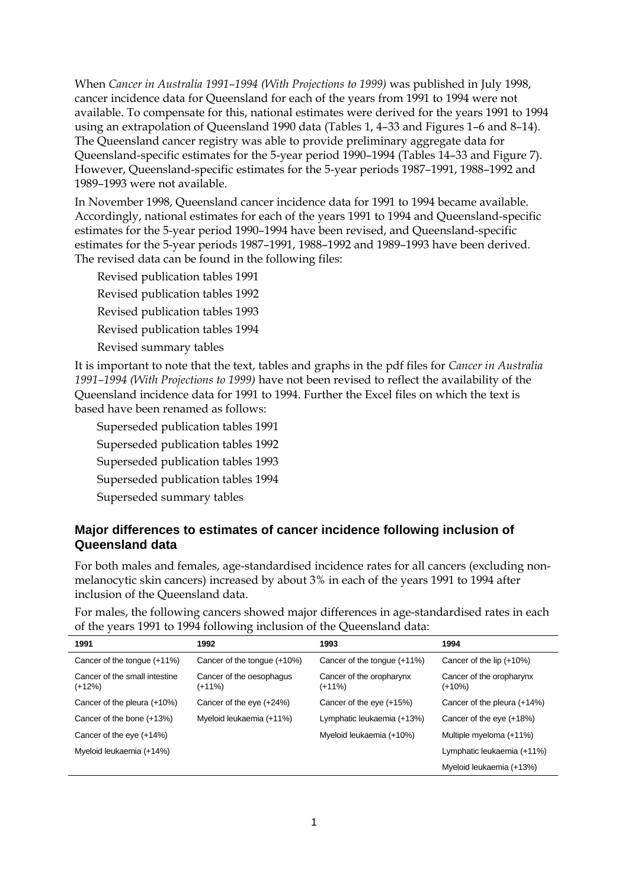When *Cancer in Australia 1991–1994 (With Projections to 1999)* was published in July 1998, cancer incidence data for Queensland for each of the years from 1991 to 1994 were not available. To compensate for this, national estimates were derived for the years 1991 to 1994 using an extrapolation of Queensland 1990 data (Tables 1, 4–33 and Figures 1–6 and 8–14). The Queensland cancer registry was able to provide preliminary aggregate data for Queensland-specific estimates for the 5-year period 1990–1994 (Tables 14–33 and Figure 7). However, Queensland-specific estimates for the 5-year periods 1987–1991, 1988–1992 and 1989–1993 were not available.

In November 1998, Queensland cancer incidence data for 1991 to 1994 became available. Accordingly, national estimates for each of the years 1991 to 1994 and Queensland-specific estimates for the 5-year period 1990–1994 have been revised, and Queensland-specific estimates for the 5-year periods 1987–1991, 1988–1992 and 1989–1993 have been derived. The revised data can be found in the following files:

Revised publication tables 1991 Revised publication tables 1992 Revised publication tables 1993 Revised publication tables 1994 Revised summary tables

It is important to note that the text, tables and graphs in the pdf files for *Cancer in Australia 1991–1994 (With Projections to 1999)* have not been revised to reflect the availability of the Queensland incidence data for 1991 to 1994. Further the Excel files on which the text is based have been renamed as follows:

- Superseded publication tables 1991
- Superseded publication tables 1992
- Superseded publication tables 1993
- Superseded publication tables 1994
- Superseded summary tables

## **Major differences to estimates of cancer incidence following inclusion of Queensland data**

For both males and females, age-standardised incidence rates for all cancers (excluding nonmelanocytic skin cancers) increased by about 3% in each of the years 1991 to 1994 after inclusion of the Queensland data.

For males, the following cancers showed major differences in age-standardised rates in each of the years 1991 to 1994 following inclusion of the Queensland data:

| 1991                                      | 1992                               | 1993                               | 1994                                 |
|-------------------------------------------|------------------------------------|------------------------------------|--------------------------------------|
| Cancer of the tonque $(+11%)$             | Cancer of the tonque (+10%)        | Cancer of the tongue (+11%)        | Cancer of the lip $(+10%)$           |
| Cancer of the small intestine<br>$(+12%)$ | Cancer of the oesophagus<br>(+11%) | Cancer of the oropharynx<br>(+11%) | Cancer of the oropharynx<br>$(+10%)$ |
| Cancer of the pleura (+10%)               | Cancer of the eye (+24%)           | Cancer of the eye (+15%)           | Cancer of the pleura (+14%)          |
| Cancer of the bone (+13%)                 | Myeloid leukaemia (+11%)           | Lymphatic leukaemia (+13%)         | Cancer of the eye (+18%)             |
| Cancer of the eye (+14%)                  |                                    | Myeloid leukaemia (+10%)           | Multiple myeloma (+11%)              |
| Myeloid leukaemia (+14%)                  |                                    |                                    | Lymphatic leukaemia (+11%)           |
|                                           |                                    |                                    | Myeloid leukaemia (+13%)             |